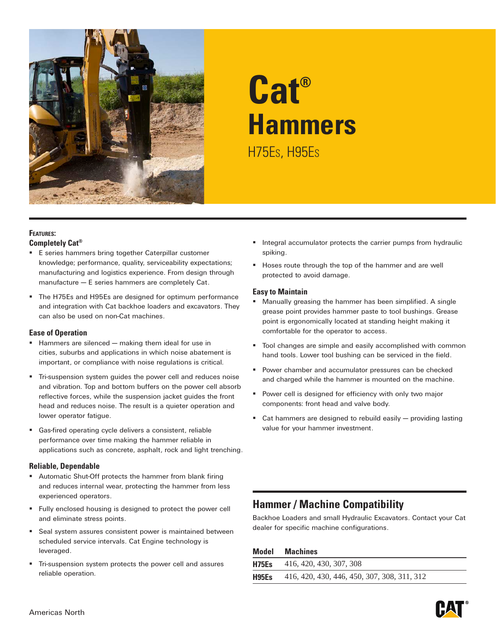

# **Cat® Hammers** H75Es, H95Es

### **Features: Completely Cat®**

- E series hammers bring together Caterpillar customer knowledge; performance, quality, serviceability expectations; manufacturing and logistics experience. From design through manufacture — E series hammers are completely Cat.
- The H75Es and H95Es are designed for optimum performance and integration with Cat backhoe loaders and excavators. They can also be used on non-Cat machines.

### **Ease of Operation**

- **Hammers are silenced making them ideal for use in** cities, suburbs and applications in which noise abatement is important, or compliance with noise regulations is critical.
- Tri-suspension system guides the power cell and reduces noise and vibration. Top and bottom buffers on the power cell absorb reflective forces, while the suspension jacket guides the front head and reduces noise. The result is a quieter operation and lower operator fatigue.
- Gas-fired operating cycle delivers a consistent, reliable performance over time making the hammer reliable in applications such as concrete, asphalt, rock and light trenching.

### **Reliable, Dependable**

- Automatic Shut-Off protects the hammer from blank firing and reduces internal wear, protecting the hammer from less experienced operators.
- Fully enclosed housing is designed to protect the power cell and eliminate stress points.
- Seal system assures consistent power is maintained between scheduled service intervals. Cat Engine technology is leveraged.
- Tri-suspension system protects the power cell and assures reliable operation.
- **Integral accumulator protects the carrier pumps from hydraulic** spiking.
- Hoses route through the top of the hammer and are well protected to avoid damage.

### **Easy to Maintain**

- **Manually greasing the hammer has been simplified. A single** grease point provides hammer paste to tool bushings. Grease point is ergonomically located at standing height making it comfortable for the operator to access.
- Tool changes are simple and easily accomplished with common hand tools. Lower tool bushing can be serviced in the field.
- **Power chamber and accumulator pressures can be checked** and charged while the hammer is mounted on the machine.
- **Power cell is designed for efficiency with only two major** components: front head and valve body.
- Cat hammers are designed to rebuild easily providing lasting value for your hammer investment.

### **Hammer / Machine Compatibility**

Backhoe Loaders and small Hydraulic Excavators. Contact your Cat dealer for specific machine configurations.

| Model | <b>Machines</b>                             |
|-------|---------------------------------------------|
|       | <b>H75Es</b> 416, 420, 430, 307, 308        |
| H95Es | 416, 420, 430, 446, 450, 307, 308, 311, 312 |

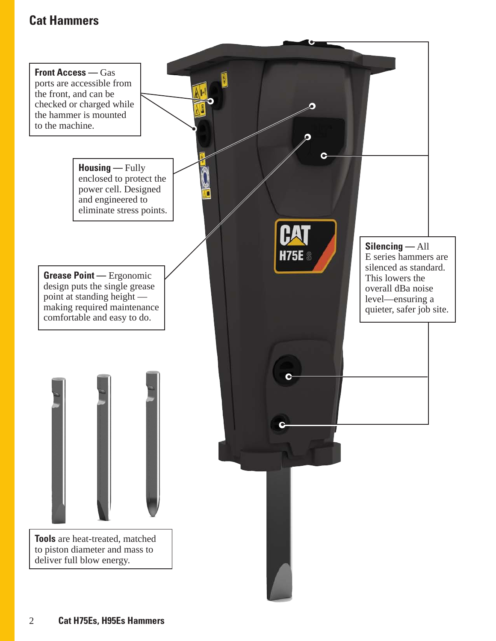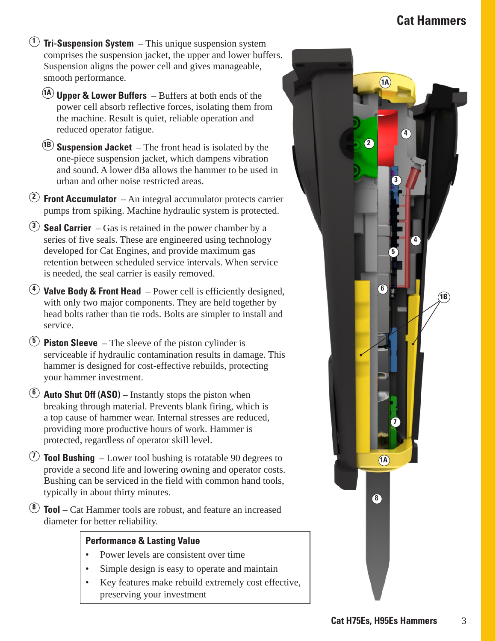- **<sup>1</sup> Tri-Suspension System**  This unique suspension system comprises the suspension jacket, the upper and lower buffers. Suspension aligns the power cell and gives manageable, smooth performance.
	- **1A Upper & Lower Buffers**  Buffers at both ends of the power cell absorb reflective forces, isolating them from the machine. Result is quiet, reliable operation and reduced operator fatigue.
	- **1B Suspension Jacket**  The front head is isolated by the one-piece suspension jacket, which dampens vibration and sound. A lower dBa allows the hammer to be used in urban and other noise restricted areas.
- **<sup>2</sup> Front Accumulator**  An integral accumulator protects carrier pumps from spiking. Machine hydraulic system is protected.
- **<sup>3</sup> Seal Carrier**  Gas is retained in the power chamber by a series of five seals. These are engineered using technology developed for Cat Engines, and provide maximum gas retention between scheduled service intervals. When service is needed, the seal carrier is easily removed.
- **<sup>4</sup> Valve Body & Front Head**  Power cell is efficiently designed, with only two major components. They are held together by head bolts rather than tie rods. Bolts are simpler to install and service.
- **<sup>5</sup> Piston Sleeve**  The sleeve of the piston cylinder is serviceable if hydraulic contamination results in damage. This hammer is designed for cost-effective rebuilds, protecting your hammer investment.
- **<sup>6</sup> Auto Shut Off (ASO)** Instantly stops the piston when breaking through material. Prevents blank firing, which is a top cause of hammer wear. Internal stresses are reduced, providing more productive hours of work. Hammer is protected, regardless of operator skill level.
- **<sup>7</sup> Tool Bushing**  Lower tool bushing is rotatable 90 degrees to provide a second life and lowering owning and operator costs. Bushing can be serviced in the field with common hand tools, typically in about thirty minutes.
- **<sup>8</sup> Tool** Cat Hammer tools are robust, and feature an increased diameter for better reliability.

### **Performance & Lasting Value**

- Power levels are consistent over time
- Simple design is easy to operate and maintain
- Key features make rebuild extremely cost effective, preserving your investment

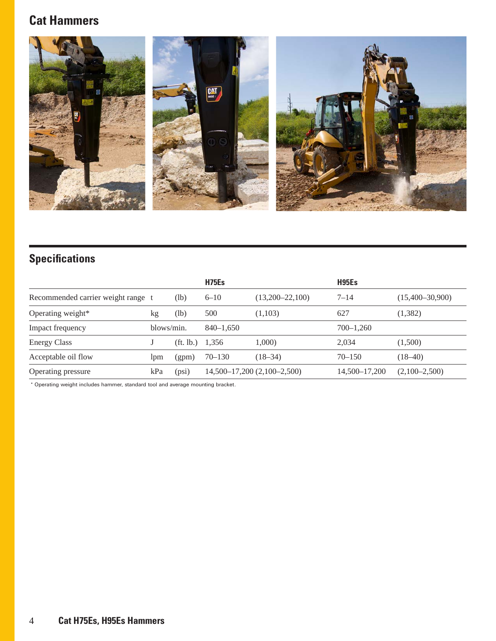

# **Specifications**

|                                    |            |                                | H75Es         |                                 | H95Es         |                   |
|------------------------------------|------------|--------------------------------|---------------|---------------------------------|---------------|-------------------|
| Recommended carrier weight range t |            | (lb)                           | $6 - 10$      | $(13,200-22,100)$               | $7 - 14$      | $(15,400-30,900)$ |
| Operating weight*                  | kg         | (lb)                           | 500           | (1,103)                         | 627           | (1,382)           |
| Impact frequency                   | blows/min. |                                | $840 - 1.650$ |                                 | $700 - 1.260$ |                   |
| <b>Energy Class</b>                |            | $(\text{ft. lb.}) \quad 1.356$ |               | 1,000)                          | 2,034         | (1,500)           |
| Acceptable oil flow                | lpm        | (gpm)                          | $70 - 130$    | $(18-34)$                       | $70 - 150$    | $(18-40)$         |
| Operating pressure                 | kPa        | (psi)                          |               | $14,500-17,200$ $(2,100-2,500)$ | 14,500–17,200 | $(2,100-2,500)$   |

\* Operating weight includes hammer, standard tool and average mounting bracket.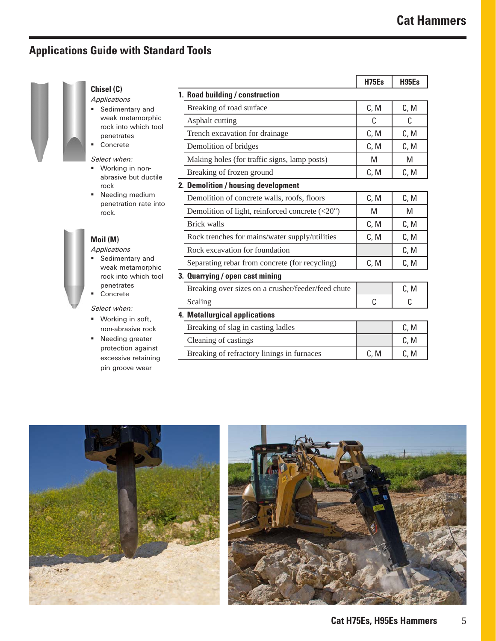# **Applications Guide with Standard Tools**



### **Chisel (C)**

- **Applications Sedimentary and**
- weak metamorphic rock into which tool penetrates Concrete

### Select when:

- Working in nonabrasive but ductile rock
- **Needing medium** penetration rate into rock.

### **Moil (M)**

#### **Applications**

- **Sedimentary and** weak metamorphic rock into which tool penetrates Concrete
- Select when:
- **Working in soft,** non-abrasive rock
- **Needing greater** protection against excessive retaining pin groove wear

|                                                       | <b>H75Es</b> | <b>H95Es</b> |
|-------------------------------------------------------|--------------|--------------|
| 1. Road building / construction                       |              |              |
| Breaking of road surface                              | C, M         | C, M         |
| Asphalt cutting                                       | C            | C            |
| Trench excavation for drainage                        | C, M         | C, M         |
| Demolition of bridges                                 | C, M         | C, M         |
| Making holes (for traffic signs, lamp posts)          | M            | M            |
| Breaking of frozen ground                             | C, M         | C, M         |
| 2. Demolition / housing development                   |              |              |
| Demolition of concrete walls, roofs, floors           | C, M         | C, M         |
| Demolition of light, reinforced concrete $(\leq 20")$ | M            | M            |
| <b>Brick walls</b>                                    | C, M         | C, M         |
| Rock trenches for mains/water supply/utilities        | C, M         | C, M         |
| Rock excavation for foundation                        |              | C, M         |
| Separating rebar from concrete (for recycling)        | C, M         | C, M         |
| 3. Quarrying / open cast mining                       |              |              |
| Breaking over sizes on a crusher/feeder/feed chute    |              | C, M         |
| Scaling                                               | C            | C            |
| 4. Metallurgical applications                         |              |              |
| Breaking of slag in casting ladles                    |              | C, M         |
| Cleaning of castings                                  |              | C, M         |
| Breaking of refractory linings in furnaces            | C, M         | C, M         |



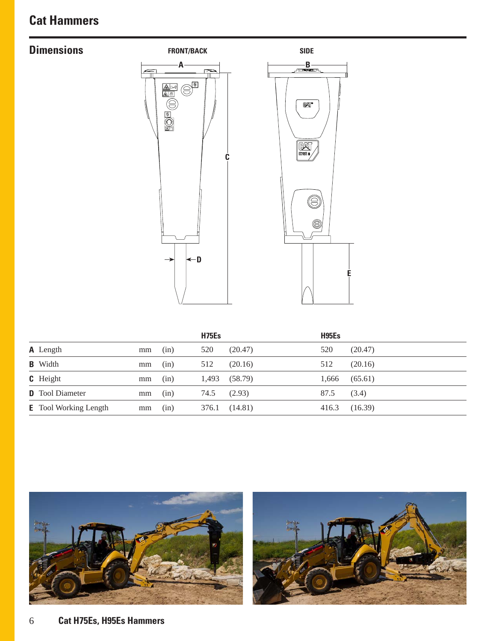# **Dimensions**





|                                    | <b>H75Es</b>  |         | H95Es |         |
|------------------------------------|---------------|---------|-------|---------|
| <b>A</b> Length<br>mm              | 520<br>(in)   | (20.47) | 520   | (20.47) |
| <b>B</b> Width<br>mm               | 512<br>(in)   | (20.16) | 512   | (20.16) |
| <b>C</b> Height<br>mm              | 1,493<br>(in) | (58.79) | 1,666 | (65.61) |
| <b>D</b> Tool Diameter<br>mm       | 74.5<br>(in)  | (2.93)  | 87.5  | (3.4)   |
| <b>E</b> Tool Working Length<br>mm | 376.1<br>(in) | (14.81) | 416.3 | (16.39) |



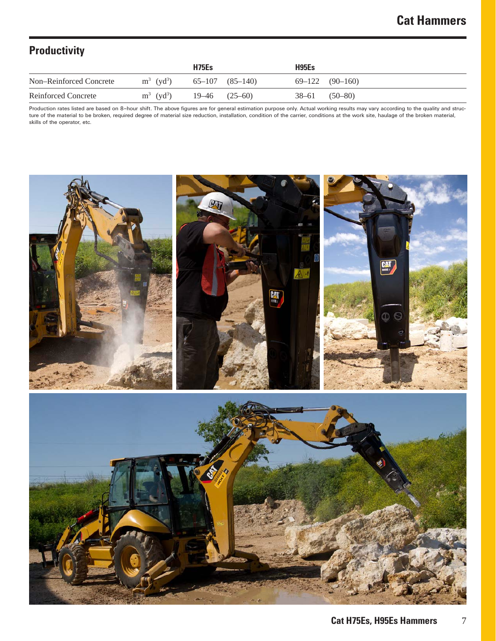# **Productivity**

|                         |                          | H <sub>75</sub> E <sub>s</sub> |                     | H95Es             |                     |
|-------------------------|--------------------------|--------------------------------|---------------------|-------------------|---------------------|
| Non-Reinforced Concrete | $m^3$ (yd <sup>3</sup> ) |                                | $65-107$ $(85-140)$ |                   | $69-122$ $(90-160)$ |
| Reinforced Concrete     | $m^3$ (yd <sup>3</sup> ) | $19-46$ $(25-60)$              |                     | $38-61$ $(50-80)$ |                     |

Production rates listed are based on 8–hour shift. The above figures are for general estimation purpose only. Actual working results may vary according to the quality and structure of the material to be broken, required degree of material size reduction, installation, condition of the carrier, conditions at the work site, haulage of the broken material, skills of the operator, etc.